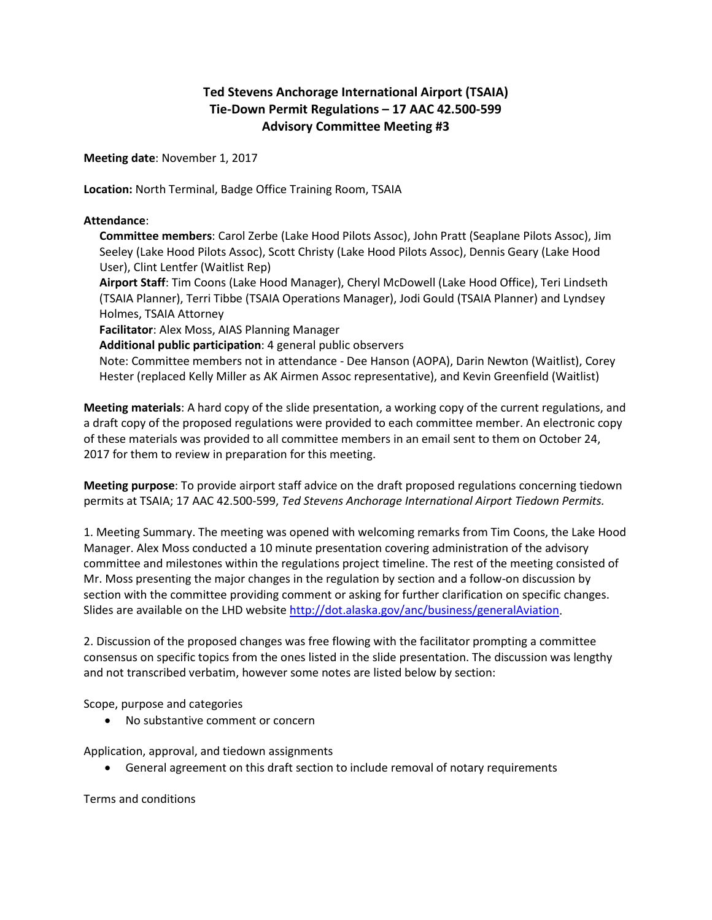## **Ted Stevens Anchorage International Airport (TSAIA) Tie-Down Permit Regulations – 17 AAC 42.500-599 Advisory Committee Meeting #3**

**Meeting date**: November 1, 2017

**Location:** North Terminal, Badge Office Training Room, TSAIA

## **Attendance**:

**Committee members**: Carol Zerbe (Lake Hood Pilots Assoc), John Pratt (Seaplane Pilots Assoc), Jim Seeley (Lake Hood Pilots Assoc), Scott Christy (Lake Hood Pilots Assoc), Dennis Geary (Lake Hood User), Clint Lentfer (Waitlist Rep)

**Airport Staff**: Tim Coons (Lake Hood Manager), Cheryl McDowell (Lake Hood Office), Teri Lindseth (TSAIA Planner), Terri Tibbe (TSAIA Operations Manager), Jodi Gould (TSAIA Planner) and Lyndsey Holmes, TSAIA Attorney

**Facilitator**: Alex Moss, AIAS Planning Manager

**Additional public participation**: 4 general public observers

Note: Committee members not in attendance - Dee Hanson (AOPA), Darin Newton (Waitlist), Corey Hester (replaced Kelly Miller as AK Airmen Assoc representative), and Kevin Greenfield (Waitlist)

**Meeting materials**: A hard copy of the slide presentation, a working copy of the current regulations, and a draft copy of the proposed regulations were provided to each committee member. An electronic copy of these materials was provided to all committee members in an email sent to them on October 24, 2017 for them to review in preparation for this meeting.

**Meeting purpose**: To provide airport staff advice on the draft proposed regulations concerning tiedown permits at TSAIA; 17 AAC 42.500-599, *Ted Stevens Anchorage International Airport Tiedown Permits.*

1. Meeting Summary. The meeting was opened with welcoming remarks from Tim Coons, the Lake Hood Manager. Alex Moss conducted a 10 minute presentation covering administration of the advisory committee and milestones within the regulations project timeline. The rest of the meeting consisted of Mr. Moss presenting the major changes in the regulation by section and a follow-on discussion by section with the committee providing comment or asking for further clarification on specific changes. Slides are available on the LHD website [http://dot.alaska.gov/anc/business/generalAviation.](http://dot.alaska.gov/anc/business/generalAviation)

2. Discussion of the proposed changes was free flowing with the facilitator prompting a committee consensus on specific topics from the ones listed in the slide presentation. The discussion was lengthy and not transcribed verbatim, however some notes are listed below by section:

Scope, purpose and categories

• No substantive comment or concern

Application, approval, and tiedown assignments

• General agreement on this draft section to include removal of notary requirements

Terms and conditions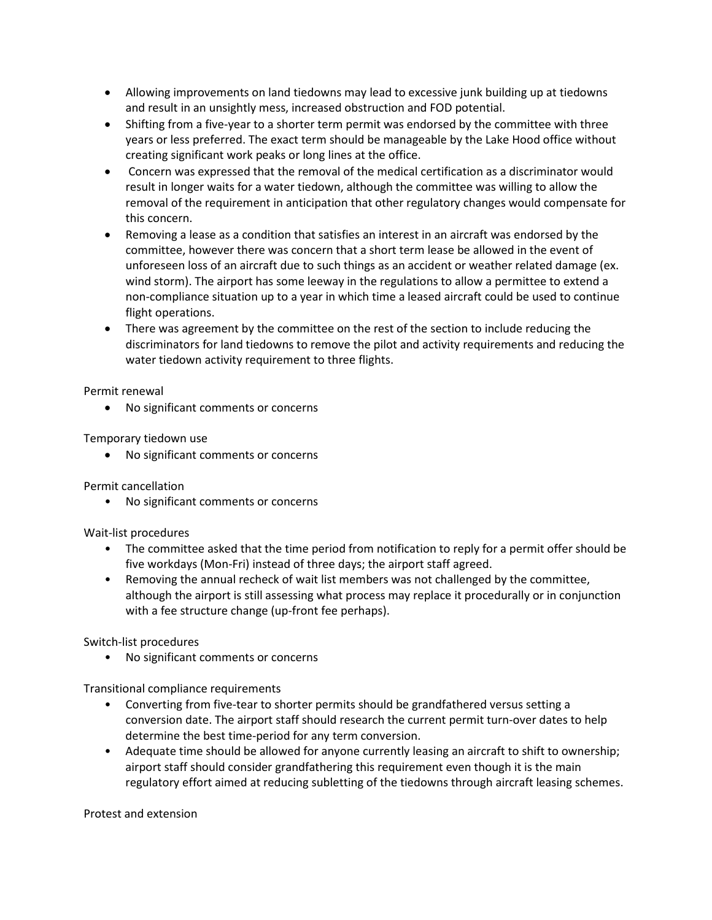- Allowing improvements on land tiedowns may lead to excessive junk building up at tiedowns and result in an unsightly mess, increased obstruction and FOD potential.
- Shifting from a five-year to a shorter term permit was endorsed by the committee with three years or less preferred. The exact term should be manageable by the Lake Hood office without creating significant work peaks or long lines at the office.
- Concern was expressed that the removal of the medical certification as a discriminator would result in longer waits for a water tiedown, although the committee was willing to allow the removal of the requirement in anticipation that other regulatory changes would compensate for this concern.
- Removing a lease as a condition that satisfies an interest in an aircraft was endorsed by the committee, however there was concern that a short term lease be allowed in the event of unforeseen loss of an aircraft due to such things as an accident or weather related damage (ex. wind storm). The airport has some leeway in the regulations to allow a permittee to extend a non-compliance situation up to a year in which time a leased aircraft could be used to continue flight operations.
- There was agreement by the committee on the rest of the section to include reducing the discriminators for land tiedowns to remove the pilot and activity requirements and reducing the water tiedown activity requirement to three flights.

Permit renewal

• No significant comments or concerns

Temporary tiedown use

• No significant comments or concerns

Permit cancellation

• No significant comments or concerns

Wait-list procedures

- The committee asked that the time period from notification to reply for a permit offer should be five workdays (Mon-Fri) instead of three days; the airport staff agreed.
- Removing the annual recheck of wait list members was not challenged by the committee, although the airport is still assessing what process may replace it procedurally or in conjunction with a fee structure change (up-front fee perhaps).

Switch-list procedures

• No significant comments or concerns

Transitional compliance requirements

- Converting from five-tear to shorter permits should be grandfathered versus setting a conversion date. The airport staff should research the current permit turn-over dates to help determine the best time-period for any term conversion.
- Adequate time should be allowed for anyone currently leasing an aircraft to shift to ownership; airport staff should consider grandfathering this requirement even though it is the main regulatory effort aimed at reducing subletting of the tiedowns through aircraft leasing schemes.

Protest and extension